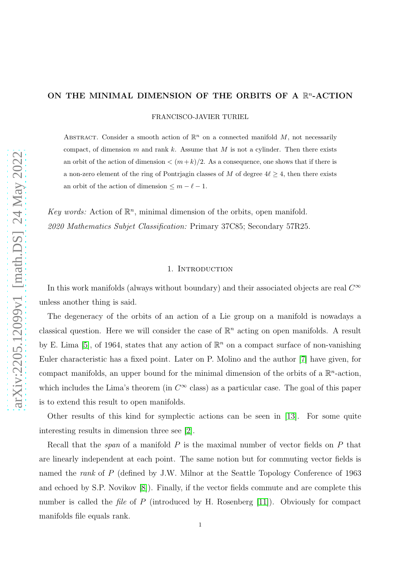# ON THE MINIMAL DIMENSION OF THE ORBITS OF A  $\mathbb{R}^n$ -ACTION

FRANCISCO-JAVIER TURIEL

ABSTRACT. Consider a smooth action of  $\mathbb{R}^n$  on a connected manifold M, not necessarily compact, of dimension  $m$  and rank  $k$ . Assume that  $M$  is not a cylinder. Then there exists an orbit of the action of dimension  $\langle (m+k)/2 \rangle$ . As a consequence, one shows that if there is a non-zero element of the ring of Pontrjagin classes of M of degree  $4\ell \geq 4$ , then there exists an orbit of the action of dimension  $\leq m - \ell - 1$ .

Key words: Action of  $\mathbb{R}^n$ , minimal dimension of the orbits, open manifold. 2020 Mathematics Subjet Classification: Primary 37C85; Secondary 57R25.

#### 1. INTRODUCTION

In this work manifolds (always without boundary) and their associated objects are real  $C^{\infty}$ unless another thing is said.

The degeneracy of the orbits of an action of a Lie group on a manifold is nowadays a classical question. Here we will consider the case of  $\mathbb{R}^n$  acting on open manifolds. A result by E. Lima [\[5\]](#page-17-0), of 1964, states that any action of  $\mathbb{R}^n$  on a compact surface of non-vanishing Euler characteristic has a fixed point. Later on P. Molino and the author [\[7\]](#page-17-1) have given, for compact manifolds, an upper bound for the minimal dimension of the orbits of a  $\mathbb{R}^n$ -action, which includes the Lima's theorem (in  $C^{\infty}$  class) as a particular case. The goal of this paper is to extend this result to open manifolds.

Other results of this kind for symplectic actions can be seen in [\[13\]](#page-18-0). For some quite interesting results in dimension three see [\[2\]](#page-17-2).

Recall that the *span* of a manifold  $P$  is the maximal number of vector fields on  $P$  that are linearly independent at each point. The same notion but for commuting vector fields is named the *rank* of P (defined by J.W. Milnor at the Seattle Topology Conference of 1963 and echoed by S.P. Novikov [\[8\]](#page-17-3)). Finally, if the vector fields commute and are complete this number is called the *file* of  $P$  (introduced by H. Rosenberg [\[11\]](#page-18-1)). Obviously for compact manifolds file equals rank.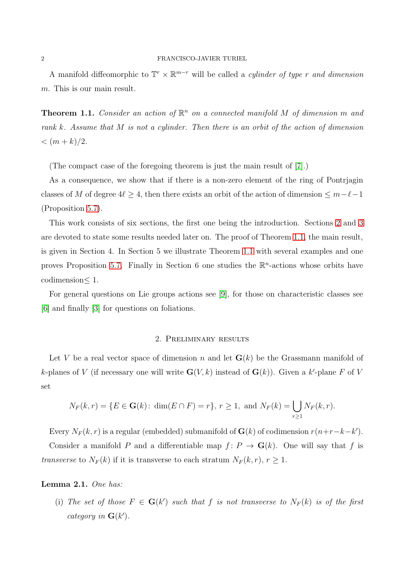A manifold diffeomorphic to  $\mathbb{T}^r \times \mathbb{R}^{m-r}$  will be called a *cylinder of type r and dimension* m. This is our main result.

<span id="page-1-1"></span>**Theorem 1.1.** Consider an action of  $\mathbb{R}^n$  on a connected manifold M of dimension m and rank k. Assume that M is not a cylinder. Then there is an orbit of the action of dimension  $<$   $(m+k)/2$ .

(The compact case of the foregoing theorem is just the main result of [\[7\]](#page-17-1).)

As a consequence, we show that if there is a non-zero element of the ring of Pontrjagin classes of M of degree  $4\ell \geq 4$ , then there exists an orbit of the action of dimension  $\leq m-\ell-1$ (Proposition [5.7\)](#page-15-0).

This work consists of six sections, the first one being the introduction. Sections [2](#page-1-0) and [3](#page-2-0) are devoted to state some results needed later on. The proof of Theorem [1.1,](#page-1-1) the main result, is given in Section 4. In Section 5 we illustrate Theorem [1.1](#page-1-1) with several examples and one proves Proposition [5.7.](#page-15-0) Finally in Section 6 one studies the  $\mathbb{R}^n$ -actions whose orbits have codimension≤ 1.

<span id="page-1-0"></span>For general questions on Lie groups actions see [\[9\]](#page-18-2), for those on characteristic classes see [\[6\]](#page-17-4) and finally [\[3\]](#page-17-5) for questions on foliations.

## 2. Preliminary results

Let V be a real vector space of dimension n and let  $\mathbf{G}(k)$  be the Grassmann manifold of k-planes of V (if necessary one will write  $\mathbf{G}(V,k)$  instead of  $\mathbf{G}(k)$ ). Given a k'-plane F of V set

$$
N_F(k,r) = \{ E \in G(k) : \dim(E \cap F) = r \}, r \ge 1, \text{ and } N_F(k) = \bigcup_{r \ge 1} N_F(k,r).
$$

Every  $N_F(k,r)$  is a regular (embedded) submanifold of  $\mathbf{G}(k)$  of codimension  $r(n+r-k-k')$ . Consider a manifold P and a differentiable map  $f: P \to G(k)$ . One will say that f is transverse to  $N_F(k)$  if it is transverse to each stratum  $N_F(k,r)$ ,  $r \geq 1$ .

### <span id="page-1-2"></span>Lemma 2.1. One has:

(i) The set of those  $F \in G(k')$  such that f is not transverse to  $N_F(k)$  is of the first category in  $\mathbf{G}(k')$ .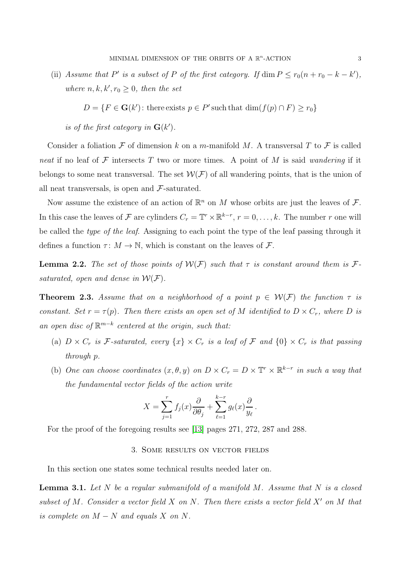(ii) Assume that P' is a subset of P of the first category. If  $\dim P \le r_0(n + r_0 - k - k')$ , where  $n, k, k', r_0 \geq 0$ , then the set

 $D = \{F \in \mathbf{G}(k') : \text{there exists } p \in P' \text{ such that } \dim(f(p) \cap F) \ge r_0\}$ 

is of the first category in  $\mathbf{G}(k')$ .

Consider a foliation F of dimension k on a m-manifold M. A transversal T to F is called neat if no leaf of  $\mathcal F$  intersects  $T$  two or more times. A point of  $M$  is said wandering if it belongs to some neat transversal. The set  $W(F)$  of all wandering points, that is the union of all neat transversals, is open and  $\mathcal{F}\text{-saturated.}$ 

Now assume the existence of an action of  $\mathbb{R}^n$  on M whose orbits are just the leaves of F. In this case the leaves of F are cylinders  $C_r = \mathbb{T}^r \times \mathbb{R}^{k-r}$ ,  $r = 0, \ldots, k$ . The number r one will be called the *type of the leaf.* Assigning to each point the type of the leaf passing through it defines a function  $\tau: M \to \mathbb{N}$ , which is constant on the leaves of  $\mathcal{F}$ .

<span id="page-2-2"></span>**Lemma 2.2.** The set of those points of  $W(F)$  such that  $\tau$  is constant around them is  $\mathcal{F}$ saturated, open and dense in  $W(F)$ .

<span id="page-2-3"></span>**Theorem 2.3.** Assume that on a neighborhood of a point  $p \in \mathcal{W}(F)$  the function  $\tau$  is constant. Set  $r = \tau(p)$ . Then there exists an open set of M identified to  $D \times C_r$ , where D is an open disc of  $\mathbb{R}^{m-k}$  centered at the origin, such that:

- (a)  $D \times C_r$  is F-saturated, every  $\{x\} \times C_r$  is a leaf of F and  $\{0\} \times C_r$  is that passing through p.
- (b) One can choose coordinates  $(x, \theta, y)$  on  $D \times C_r = D \times T^r \times \mathbb{R}^{k-r}$  in such a way that the fundamental vector fields of the action write

$$
X = \sum_{j=1}^{r} f_j(x) \frac{\partial}{\partial \theta_j} + \sum_{\ell=1}^{k-r} g_\ell(x) \frac{\partial}{y_\ell}.
$$

<span id="page-2-0"></span>For the proof of the foregoing results see [\[13\]](#page-18-0) pages 271, 272, 287 and 288.

### 3. Some results on vector fields

In this section one states some technical results needed later on.

<span id="page-2-1"></span>**Lemma 3.1.** Let  $N$  be a regular submanifold of a manifold  $M$ . Assume that  $N$  is a closed subset of M. Consider a vector field X on N. Then there exists a vector field  $X'$  on M that is complete on  $M - N$  and equals X on N.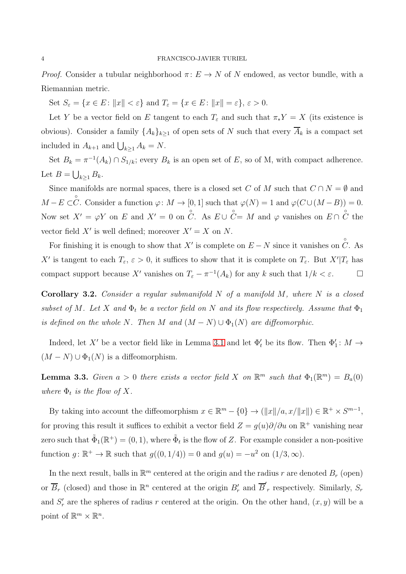*Proof.* Consider a tubular neighborhood  $\pi: E \to N$  of N endowed, as vector bundle, with a Riemannian metric.

Set  $S_{\varepsilon} = \{x \in E \colon ||x|| < \varepsilon\}$  and  $T_{\varepsilon} = \{x \in E \colon ||x|| = \varepsilon\}, \varepsilon > 0.$ 

Let Y be a vector field on E tangent to each  $T_{\varepsilon}$  and such that  $\pi_* Y = X$  (its existence is obvious). Consider a family  $\{A_k\}_{k\geq 1}$  of open sets of N such that every  $\overline{A}_k$  is a compact set included in  $A_{k+1}$  and  $\bigcup_{k\geq 1} A_k = N$ .

Set  $B_k = \pi^{-1}(A_k) \cap S_{1/k}$ ; every  $B_k$  is an open set of E, so of M, with compact adherence. Let  $B = \bigcup_{k \geq 1} B_k$ .

Since manifolds are normal spaces, there is a closed set C of M such that  $C \cap N = \emptyset$  and  $M - E \subset \overset{\circ}{C}$ . Consider a function  $\varphi \colon M \to [0, 1]$  such that  $\varphi(N) = 1$  and  $\varphi(C \cup (M - B)) = 0$ . Now set  $X' = \varphi Y$  on E and  $X' = 0$  on  $\overset{\circ}{C}$ . As  $E \cup \overset{\circ}{C} = M$  and  $\varphi$  vanishes on  $E \cap \overset{\circ}{C}$  the vector field  $X'$  is well defined; moreover  $X' = X$  on N.

For finishing it is enough to show that X' is complete on  $E-N$  since it vanishes on  $\hat{C}$ . As X' is tangent to each  $T_{\varepsilon}$ ,  $\varepsilon > 0$ , it suffices to show that it is complete on  $T_{\varepsilon}$ . But  $X'|T_{\varepsilon}$  has compact support because X' vanishes on  $T_{\varepsilon} - \pi^{-1}(A_k)$  for any k such that  $1/k < \varepsilon$ .

<span id="page-3-1"></span>**Corollary 3.2.** Consider a regular submanifold  $N$  of a manifold  $M$ , where  $N$  is a closed subset of M. Let X and  $\Phi_t$  be a vector field on N and its flow respectively. Assume that  $\Phi_1$ is defined on the whole N. Then M and  $(M - N) \cup \Phi_1(N)$  are diffeomorphic.

Indeed, let X' be a vector field like in Lemma [3.1](#page-2-1) and let  $\Phi'_t$  be its flow. Then  $\Phi'_1: M \to$  $(M - N) \cup \Phi_1(N)$  is a diffeomorphism.

<span id="page-3-0"></span>**Lemma 3.3.** Given  $a > 0$  there exists a vector field X on  $\mathbb{R}^m$  such that  $\Phi_1(\mathbb{R}^m) = B_a(0)$ where  $\Phi_t$  is the flow of X.

By taking into account the diffeomorphism  $x \in \mathbb{R}^m - \{0\} \to (\|x\|/a, x/\|x\|) \in \mathbb{R}^+ \times S^{m-1}$ , for proving this result it suffices to exhibit a vector field  $Z = g(u)\partial/\partial u$  on  $\mathbb{R}^+$  vanishing near zero such that  $\tilde{\Phi}_1(\mathbb{R}^+) = (0, 1)$ , where  $\tilde{\Phi}_t$  is the flow of Z. For example consider a non-positive function  $g: \mathbb{R}^+ \to \mathbb{R}$  such that  $g((0,1/4)) = 0$  and  $g(u) = -u^2$  on  $(1/3, \infty)$ .

In the next result, balls in  $\mathbb{R}^m$  centered at the origin and the radius r are denoted  $B_r$  (open) or  $\overline{B}_r$  (closed) and those in  $\mathbb{R}^n$  centered at the origin  $B'_r$  and  $\overline{B}'_r$  respectively. Similarly,  $S_r$ and  $S'_r$  are the spheres of radius r centered at the origin. On the other hand,  $(x, y)$  will be a point of  $\mathbb{R}^m \times \mathbb{R}^n$ .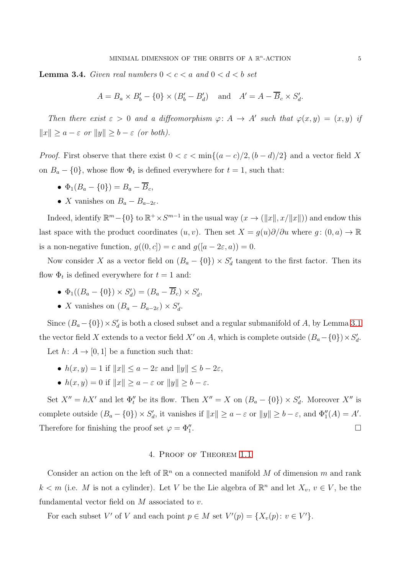<span id="page-4-1"></span>**Lemma 3.4.** Given real numbers  $0 < c < a$  and  $0 < d < b$  set

$$
A = B_a \times B'_b - \{0\} \times (B'_b - B'_d) \quad \text{and} \quad A' = A - \overline{B}_c \times S'_d.
$$

Then there exist  $\varepsilon > 0$  and a diffeomorphism  $\varphi: A \to A'$  such that  $\varphi(x, y) = (x, y)$  if  $||x|| \ge a - \varepsilon$  or  $||y|| \ge b - \varepsilon$  (or both).

*Proof.* First observe that there exist  $0 < \varepsilon < \min\{(a-c)/2, (b-d)/2\}$  and a vector field X on  $B_a - \{0\}$ , whose flow  $\Phi_t$  is defined everywhere for  $t = 1$ , such that:

- $\bullet$   $\Phi_1(B_a \{0\}) = B_a \overline{B}_c$
- X vanishes on  $B_a B_{a-2\varepsilon}$ .

Indeed, identify  $\mathbb{R}^m - \{0\}$  to  $\mathbb{R}^+ \times S^{m-1}$  in the usual way  $(x \to (\|x\|, x/\|x\|))$  and endow this last space with the product coordinates  $(u, v)$ . Then set  $X = g(u)\partial/\partial u$  where  $g: (0, a) \to \mathbb{R}$ is a non-negative function,  $g((0, c]) = c$  and  $g((a - 2\varepsilon, a)) = 0$ .

Now consider X as a vector field on  $(B_a - \{0\}) \times S'_a$  tangent to the first factor. Then its flow  $\Phi_t$  is defined everywhere for  $t = 1$  and:

- $\Phi_1((B_a \{0\}) \times S'_d) = (B_a \overline{B}_c) \times S'_d,$
- *X* vanishes on  $(B_a B_{a-2\varepsilon}) \times S'_a$ .

Since  $(B_a - \{0\}) \times S'_a$  is both a closed subset and a regular submanifold of A, by Lemma [3.1](#page-2-1) the vector field X extends to a vector field X' on A, which is complete outside  $(B_a - \{0\}) \times S'_a$ .

Let  $h: A \to [0, 1]$  be a function such that:

- $h(x, y) = 1$  if  $||x|| \le a 2\varepsilon$  and  $||y|| \le b 2\varepsilon$ .
- $h(x, y) = 0$  if  $||x|| > a \varepsilon$  or  $||y|| > b \varepsilon$ .

Set  $X'' = hX'$  and let  $\Phi''_t$  be its flow. Then  $X'' = X$  on  $(B_a - \{0\}) \times S'_a$ . Moreover  $X''$  is complete outside  $(B_a - \{0\}) \times S'_a$ , it vanishes if  $||x|| \ge a - \varepsilon$  or  $||y|| \ge b - \varepsilon$ , and  $\Phi''_1(A) = A'$ . Therefore for finishing the proof set  $\varphi=\Phi''_1$ .

## 4. Proof of Theorem [1.1](#page-1-1)

<span id="page-4-0"></span>Consider an action on the left of  $\mathbb{R}^n$  on a connected manifold M of dimension m and rank  $k < m$  (i.e. M is not a cylinder). Let V be the Lie algebra of  $\mathbb{R}^n$  and let  $X_v, v \in V$ , be the fundamental vector field on  $M$  associated to  $v$ .

For each subset V' of V and each point  $p \in M$  set  $V'(p) = \{X_v(p) : v \in V'\}.$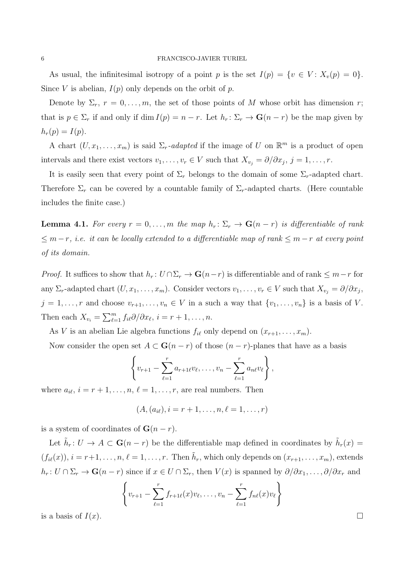As usual, the infinitesimal isotropy of a point p is the set  $I(p) = \{v \in V : X_v(p) = 0\}.$ Since V is abelian,  $I(p)$  only depends on the orbit of p.

Denote by  $\Sigma_r$ ,  $r = 0, \ldots, m$ , the set of those points of M whose orbit has dimension r; that is  $p \in \Sigma_r$  if and only if dim  $I(p) = n - r$ . Let  $h_r: \Sigma_r \to \mathbf{G}(n - r)$  be the map given by  $h_r(p) = I(p).$ 

A chart  $(U, x_1, \ldots, x_m)$  is said  $\Sigma_r$ -adapted if the image of U on  $\mathbb{R}^m$  is a product of open intervals and there exist vectors  $v_1, \ldots, v_r \in V$  such that  $X_{v_j} = \partial/\partial x_j$ ,  $j = 1, \ldots, r$ .

It is easily seen that every point of  $\Sigma_r$  belongs to the domain of some  $\Sigma_r$ -adapted chart. Therefore  $\Sigma_r$  can be covered by a countable family of  $\Sigma_r$ -adapted charts. (Here countable includes the finite case.)

<span id="page-5-0"></span>**Lemma 4.1.** For every  $r = 0, \ldots, m$  the map  $h_r: \Sigma_r \to \mathbf{G}(n-r)$  is differentiable of rank  $\leq m-r$ , i.e. it can be locally extended to a differentiable map of rank  $\leq m-r$  at every point of its domain.

*Proof.* It suffices to show that  $h_r: U \cap \Sigma_r \to \mathbf{G}(n-r)$  is differentiable and of rank  $\leq m-r$  for any  $\Sigma_r$ -adapted chart  $(U, x_1, \ldots, x_m)$ . Consider vectors  $v_1, \ldots, v_r \in V$  such that  $X_{v_j} = \partial/\partial x_j$ ,  $j = 1, \ldots, r$  and choose  $v_{r+1}, \ldots, v_n \in V$  in a such a way that  $\{v_1, \ldots, v_n\}$  is a basis of V. Then each  $X_{v_i} = \sum_{\ell=1}^m f_{i\ell} \partial/\partial x_{\ell}, i = r+1, \ldots, n$ .

As V is an abelian Lie algebra functions  $f_{i\ell}$  only depend on  $(x_{r+1}, \ldots, x_m)$ .

Now consider the open set  $A \subset \mathbf{G}(n-r)$  of those  $(n-r)$ -planes that have as a basis

$$
\left\{ v_{r+1} - \sum_{\ell=1}^r a_{r+1\ell}v_{\ell}, \ldots, v_n - \sum_{\ell=1}^r a_{n\ell}v_{\ell} \right\},\,
$$

where  $a_{i\ell}$ ,  $i = r + 1, \ldots, n, \ell = 1, \ldots, r$ , are real numbers. Then

$$
(A, (a_{i\ell}), i = r + 1, \ldots, n, \ell = 1, \ldots, r)
$$

is a system of coordinates of  $G(n - r)$ .

Let  $\tilde{h}_r: U \to A \subset \mathbf{G}(n-r)$  be the differentiable map defined in coordinates by  $\tilde{h}_r(x) =$  $(f_{i\ell}(x)), i = r+1, \ldots, n, \ell = 1, \ldots, r.$  Then  $\tilde{h}_r$ , which only depends on  $(x_{r+1}, \ldots, x_m)$ , extends  $h_r: U \cap \Sigma_r \to \mathbf{G}(n-r)$  since if  $x \in U \cap \Sigma_r$ , then  $V(x)$  is spanned by  $\partial/\partial x_1, \ldots, \partial/\partial x_r$  and

$$
\left\{v_{r+1} - \sum_{\ell=1}^r f_{r+1\ell}(x)v_{\ell}, \ldots, v_n - \sum_{\ell=1}^r f_{n\ell}(x)v_{\ell}\right\}
$$

is a basis of  $I(x)$ .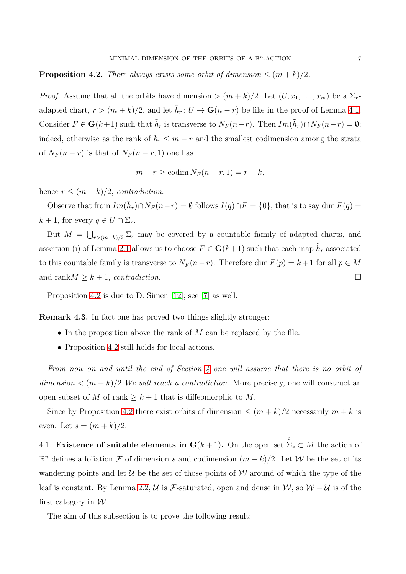# <span id="page-6-0"></span>**Proposition 4.2.** There always exists some orbit of dimension  $\leq (m+k)/2$ .

*Proof.* Assume that all the orbits have dimension  $> (m + k)/2$ . Let  $(U, x_1, \ldots, x_m)$  be a  $\Sigma_r$ adapted chart,  $r > (m + k)/2$ , and let  $\tilde{h}_r : U \to \mathbf{G}(n - r)$  be like in the proof of Lemma [4.1.](#page-5-0) Consider  $F \in G(k+1)$  such that  $\tilde{h}_r$  is transverse to  $N_F(n-r)$ . Then  $Im(\tilde{h}_r) \cap N_F(n-r) = \emptyset$ ; indeed, otherwise as the rank of  $\tilde{h}_r \leq m-r$  and the smallest codimension among the strata of  $N_F(n-r)$  is that of  $N_F(n-r, 1)$  one has

$$
m - r \geq \operatorname{codim} N_F(n - r, 1) = r - k,
$$

hence  $r \leq (m+k)/2$ , contradiction.

Observe that from  $Im(\tilde{h}_r) \cap N_F(n-r) = \emptyset$  follows  $I(q) \cap F = \{0\}$ , that is to say dim  $F(q) =$  $k + 1$ , for every  $q \in U \cap \Sigma_r$ .

But  $M = \bigcup_{r > (m+k)/2} \Sigma_r$  may be covered by a countable family of adapted charts, and assertion (i) of Lemma [2.1](#page-1-2) allows us to choose  $F \in G(k+1)$  such that each map  $\tilde{h}_r$  associated to this countable family is transverse to  $N_F (n-r)$ . Therefore dim  $F(p) = k+1$  for all  $p \in M$ and rank $M \geq k+1$ , contradiction.

Proposition [4.2](#page-6-0) is due to D. Simen [\[12\]](#page-18-3); see [\[7\]](#page-17-1) as well.

Remark 4.3. In fact one has proved two things slightly stronger:

- In the proposition above the rank of  $M$  can be replaced by the file.
- Proposition [4.2](#page-6-0) still holds for local actions.

From now on and until the end of Section [4](#page-4-0) one will assume that there is no orbit of  $dimension < (m + k)/2$ . We will reach a contradiction. More precisely, one will construct an open subset of M of rank  $\geq k+1$  that is diffeomorphic to M.

Since by Proposition [4.2](#page-6-0) there exist orbits of dimension  $\leq (m+k)/2$  necessarily  $m+k$  is even. Let  $s = (m + k)/2$ .

4.1. Existence of suitable elements in  $\mathbf{G}(k+1)$ . On the open set  $\hat{\Sigma}_s \subset M$  the action of  $\mathbb{R}^n$  defines a foliation *F* of dimension *s* and codimension  $(m - k)/2$ . Let *W* be the set of its wandering points and let  $\mathcal U$  be the set of those points of  $\mathcal W$  around of which the type of the leaf is constant. By Lemma [2.2,](#page-2-2) U is F-saturated, open and dense in W, so  $W - U$  is of the first category in  $W$ .

The aim of this subsection is to prove the following result: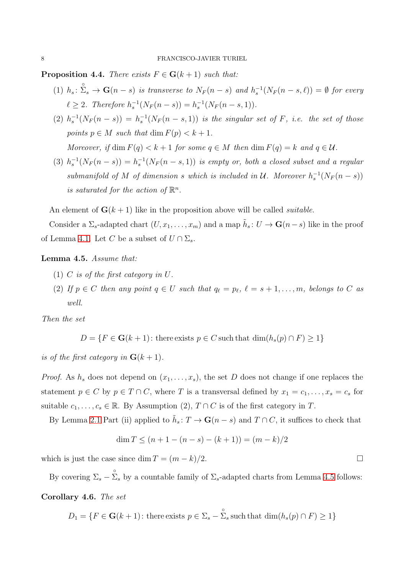<span id="page-7-1"></span>**Proposition 4.4.** There exists  $F \in G(k+1)$  such that:

- (1)  $h_s: \sum_{s}^{\infty} \rightarrow \mathbf{G}(n-s)$  is transverse to  $N_F(n-s)$  and  $h_s^{-1}(N_F(n-s,\ell)) = \emptyset$  for every  $\ell \geq 2$ . Therefore  $h_s^{-1}(N_F(n-s)) = h_s^{-1}(N_F(n-s, 1)).$
- (2)  $h_s^{-1}(N_F(n-s)) = h_s^{-1}(N_F(n-s,1))$  is the singular set of F, i.e. the set of those points  $p \in M$  such that dim  $F(p) < k+1$ .

Moreover, if dim  $F(q) < k+1$  for some  $q \in M$  then dim  $F(q) = k$  and  $q \in \mathcal{U}$ .

(3)  $h_s^{-1}(N_F(n-s)) = h_s^{-1}(N_F(n-s,1))$  is empty or, both a closed subset and a regular submanifold of M of dimension s which is included in U. Moreover  $h_s^{-1}(N_F(n-s))$ is saturated for the action of  $\mathbb{R}^n$ .

An element of  $\mathbf{G}(k+1)$  like in the proposition above will be called *suitable*.

Consider a  $\Sigma_s$ -adapted chart  $(U, x_1, \ldots, x_m)$  and a map  $\tilde{h}_s : U \to \mathbf{G}(n-s)$  like in the proof of Lemma [4.1.](#page-5-0) Let C be a subset of  $U \cap \Sigma_s$ .

### <span id="page-7-0"></span>Lemma 4.5. Assume that:

- (1) C is of the first category in U.
- (2) If  $p \in C$  then any point  $q \in U$  such that  $q_{\ell} = p_{\ell}, \ell = s + 1, \ldots, m$ , belongs to C as well.

Then the set

$$
D = \{ F \in \mathbf{G}(k+1) \colon \text{there exists } p \in C \text{ such that } \dim(h_s(p) \cap F) \ge 1 \}
$$

is of the first category in  $G(k + 1)$ .

*Proof.* As  $h_s$  does not depend on  $(x_1, \ldots, x_s)$ , the set D does not change if one replaces the statement  $p \in C$  by  $p \in T \cap C$ , where T is a transversal defined by  $x_1 = c_1, \ldots, x_s = c_s$  for suitable  $c_1, \ldots, c_s \in \mathbb{R}$ . By Assumption (2),  $T \cap C$  is of the first category in T.

By Lemma [2.1](#page-1-2) Part (ii) applied to  $\tilde{h}_s: T \to \mathbf{G}(n-s)$  and  $T \cap C$ , it suffices to check that

$$
\dim T \le (n+1-(n-s)-(k+1)) = (m-k)/2
$$

which is just the case since dim  $T = (m - k)/2$ .

<span id="page-7-2"></span>By covering  $\Sigma_s - \hat{\Sigma}_s$  by a countable family of  $\Sigma_s$ -adapted charts from Lemma [4.5](#page-7-0) follows: Corollary 4.6. The set

$$
D_1 = \{ F \in \mathbf{G}(k+1) \colon \text{there exists } p \in \Sigma_s - \sum_{s=1}^{\infty} \text{such that } \dim(h_s(p) \cap F) \ge 1 \}
$$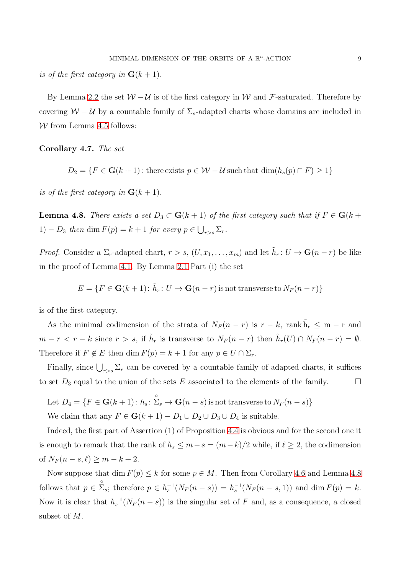is of the first category in  $\mathbf{G}(k+1)$ .

By Lemma [2.2](#page-2-2) the set  $W - U$  is of the first category in W and F-saturated. Therefore by covering  $W - U$  by a countable family of  $\Sigma_s$ -adapted charts whose domains are included in  $W$  from Lemma [4.5](#page-7-0) follows:

<span id="page-8-1"></span>Corollary 4.7. The set

$$
D_2 = \{ F \in \mathbf{G}(k+1) \colon \text{there exists } p \in \mathcal{W} - \mathcal{U} \text{ such that } \dim(h_s(p) \cap F) \ge 1 \}
$$

is of the first category in  $G(k + 1)$ .

<span id="page-8-0"></span>**Lemma 4.8.** There exists a set  $D_3 \subset G(k+1)$  of the first category such that if  $F \in G(k+1)$ 1) –  $D_3$  then dim  $F(p) = k + 1$  for every  $p \in \bigcup_{r>s} \Sigma_r$ .

*Proof.* Consider a  $\Sigma_r$ -adapted chart,  $r > s$ ,  $(U, x_1, \ldots, x_m)$  and let  $\tilde{h}_r : U \to \mathbf{G}(n-r)$  be like in the proof of Lemma [4.1.](#page-5-0) By Lemma [2.1](#page-1-2) Part (i) the set

$$
E = \{ F \in \mathbf{G}(k+1) \colon \tilde{h}_r \colon U \to \mathbf{G}(n-r) \text{ is not transverse to } N_F(n-r) \}
$$

is of the first category.

As the minimal codimension of the strata of  $N_F(n-r)$  is  $r-k$ , rank  $\tilde{h}_r \leq m-r$  and  $m-r < r-k$  since  $r > s$ , if  $\tilde{h}_r$  is transverse to  $N_F(n-r)$  then  $\tilde{h}_r(U) \cap N_F(n-r) = \emptyset$ . Therefore if  $F \notin E$  then dim  $F(p) = k + 1$  for any  $p \in U \cap \Sigma_r$ .

Finally, since  $\bigcup_{r>s}\sum_r$  can be covered by a countable family of adapted charts, it suffices to set  $D_3$  equal to the union of the sets E associated to the elements of the family.  $\square$ 

Let  $D_4 = \{F \in G(k+1): h_s: \sum_{s=1}^{S} \rightarrow G(n-s) \text{ is not transverse to } N_F(n-s)\}$ We claim that any  $F \in G(k+1) - D_1 \cup D_2 \cup D_3 \cup D_4$  is suitable.

Indeed, the first part of Assertion (1) of Proposition [4.4](#page-7-1) is obvious and for the second one it is enough to remark that the rank of  $h_s \leq m - s = (m - k)/2$  while, if  $\ell \geq 2$ , the codimension of  $N_F(n - s, \ell) \ge m - k + 2$ .

Now suppose that dim  $F(p) \leq k$  for some  $p \in M$ . Then from Corollary [4.6](#page-7-2) and Lemma [4.8](#page-8-0) follows that  $p \in \sum_{s=1}^{\infty}$ ; therefore  $p \in h_s^{-1}(N_F(n-s)) = h_s^{-1}(N_F(n-s,1))$  and  $\dim F(p) = k$ . Now it is clear that  $h_s^{-1}(N_F(n-s))$  is the singular set of F and, as a consequence, a closed subset of M.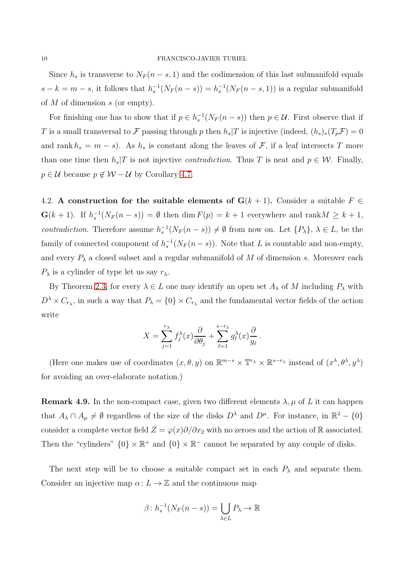Since  $h_s$  is transverse to  $N_F(n-s,1)$  and the codimension of this last submanifold equals  $s - k = m - s$ , it follows that  $h_s^{-1}(N_F(n - s)) = h_s^{-1}(N_F(n - s, 1))$  is a regular submanifold of  $M$  of dimension  $s$  (or empty).

For finishing one has to show that if  $p \in h_s^{-1}(N_F(n-s))$  then  $p \in \mathcal{U}$ . First observe that if T is a small transversal to F passing through p then  $h_s/T$  is injective (indeed,  $(h_s)_*(T_p\mathcal{F})=0$ and rank  $h_s = m - s$ ). As  $h_s$  is constant along the leaves of  $\mathcal{F}$ , if a leaf intersects T more than one time then  $h_s/T$  is not injective *contradiction*. Thus T is neat and  $p \in W$ . Finally,  $p \in \mathcal{U}$  because  $p \notin \mathcal{W} - \mathcal{U}$  by Corollary [4.7.](#page-8-1)

4.2. A construction for the suitable elements of  $G(k + 1)$ . Consider a suitable  $F \in$  $\mathbf{G}(k+1)$ . If  $h_s^{-1}(N_F(n-s)) = \emptyset$  then  $\dim F(p) = k+1$  everywhere and  $\operatorname{rank} M \geq k+1$ , contradiction. Therefore assume  $h_s^{-1}(N_F(n-s)) \neq \emptyset$  from now on. Let  $\{P_\lambda\}, \lambda \in L$ , be the family of connected component of  $h_s^{-1}(N_F(n-s))$ . Note that L is countable and non-empty, and every  $P_{\lambda}$  a closed subset and a regular submanifold of M of dimension s. Moreover each  $P_{\lambda}$  is a cylinder of type let us say  $r_{\lambda}$ .

By Theorem [2.3,](#page-2-3) for every  $\lambda \in L$  one may identify an open set  $A_{\lambda}$  of M including  $P_{\lambda}$  with  $D^{\lambda} \times C_{r_{\lambda}}$ , in such a way that  $P_{\lambda} = \{0\} \times C_{r_{\lambda}}$  and the fundamental vector fields of the action write

$$
X = \sum_{j=1}^{r_{\lambda}} f_j^{\lambda}(x) \frac{\partial}{\partial \theta_j} + \sum_{\ell=1}^{s-r_{\lambda}} g_{\ell}^{\lambda}(x) \frac{\partial}{y_{\ell}}.
$$

(Here one makes use of coordinates  $(x, \theta, y)$  on  $\mathbb{R}^{m-s} \times \mathbb{T}^{r_{\lambda}} \times \mathbb{R}^{s-r_{\lambda}}$  instead of  $(x^{\lambda}, \theta^{\lambda}, y^{\lambda})$ for avoiding an over-elaborate notation.)

**Remark 4.9.** In the non-compact case, given two different elements  $\lambda, \mu$  of L it can happen that  $A_{\lambda} \cap A_{\mu} \neq \emptyset$  regardless of the size of the disks  $D^{\lambda}$  and  $D^{\mu}$ . For instance, in  $\mathbb{R}^2 - \{0\}$ consider a complete vector field  $Z = \varphi(x)\partial/\partial x_2$  with no zeroes and the action of R associated. Then the "cylinders"  $\{0\} \times \mathbb{R}^+$  and  $\{0\} \times \mathbb{R}^-$  cannot be separated by any couple of disks.

The next step will be to choose a suitable compact set in each  $P_{\lambda}$  and separate them. Consider an injective map  $\alpha: L \to \mathbb{Z}$  and the continuous map

$$
\beta \colon h_s^{-1}(N_F(n-s)) = \bigcup_{\lambda \in L} P_{\lambda} \to \mathbb{R}
$$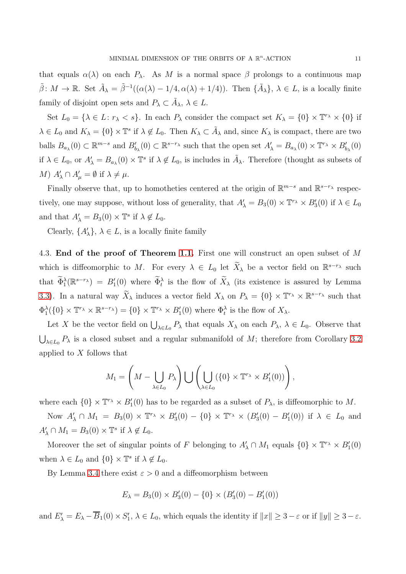that equals  $\alpha(\lambda)$  on each  $P_{\lambda}$ . As M is a normal space  $\beta$  prolongs to a continuous map  $\tilde{\beta}: M \to \mathbb{R}$ . Set  $\tilde{A}_{\lambda} = \tilde{\beta}^{-1}((\alpha(\lambda) - 1/4, \alpha(\lambda) + 1/4))$ . Then  $\{\tilde{A}_{\lambda}\}, \lambda \in L$ , is a locally finite family of disjoint open sets and  $P_{\lambda} \subset \tilde{A}_{\lambda}, \lambda \in L$ .

Set  $L_0 = \{ \lambda \in L : r_\lambda < s \}.$  In each  $P_\lambda$  consider the compact set  $K_\lambda = \{0\} \times \mathbb{T}^{r_\lambda} \times \{0\}$  if  $\lambda \in L_0$  and  $K_\lambda = \{0\} \times \mathbb{T}^s$  if  $\lambda \notin L_0$ . Then  $K_\lambda \subset \tilde{A}_\lambda$  and, since  $K_\lambda$  is compact, there are two balls  $B_{a_\lambda}(0) \subset \mathbb{R}^{m-s}$  and  $B'_{b_\lambda}(0) \subset \mathbb{R}^{s-r_\lambda}$  such that the open set  $A'_\lambda = B_{a_\lambda}(0) \times \mathbb{T}^{r_\lambda} \times B'_{b_\lambda}(0)$ if  $\lambda \in L_0$ , or  $A'_\lambda = B_{a_\lambda}(0) \times \mathbb{T}^s$  if  $\lambda \notin L_0$ , is includes in  $\tilde{A}_\lambda$ . Therefore (thought as subsets of M)  $A'_{\lambda} \cap A'_{\mu} = \emptyset$  if  $\lambda \neq \mu$ .

Finally observe that, up to homotheties centered at the origin of  $\mathbb{R}^{m-s}$  and  $\mathbb{R}^{s-r_{\lambda}}$  respectively, one may suppose, without loss of generality, that  $A'_\lambda = B_3(0) \times \mathbb{T}^r \times B'_3(0)$  if  $\lambda \in L_0$ and that  $A'_{\lambda} = B_3(0) \times \mathbb{T}^s$  if  $\lambda \notin L_0$ .

Clearly,  $\{A'_\lambda\}$ ,  $\lambda \in L$ , is a locally finite family

4.3. End of the proof of Theorem [1.1.](#page-1-1) First one will construct an open subset of M which is diffeomorphic to M. For every  $\lambda \in L_0$  let  $\widetilde{X}_\lambda$  be a vector field on  $\mathbb{R}^{s-r_\lambda}$  such that  $\widetilde{\Phi}_1^{\lambda}(\mathbb{R}^{s-r_{\lambda}}) = B'_1(0)$  where  $\widetilde{\Phi}_t^{\lambda}$  is the flow of  $\widetilde{X}_{\lambda}$  (its existence is assured by Lemma [3.3\)](#page-3-0). In a natural way  $\widetilde{X}_{\lambda}$  induces a vector field  $X_{\lambda}$  on  $P_{\lambda} = \{0\} \times \mathbb{T}^{r_{\lambda}} \times \mathbb{R}^{s-r_{\lambda}}$  such that  $\Phi_1^{\lambda}(\{0\} \times \mathbb{T}^{r_{\lambda}} \times \mathbb{R}^{s-r_{\lambda}}) = \{0\} \times \mathbb{T}^{r_{\lambda}} \times B'_1(0)$  where  $\Phi_t^{\lambda}$  is the flow of  $X_{\lambda}$ .

Let X be the vector field on  $\bigcup_{\lambda \in L_0} P_{\lambda}$  that equals  $X_{\lambda}$  on each  $P_{\lambda}$ ,  $\lambda \in L_0$ . Observe that  $\bigcup_{\lambda \in L_0} P_{\lambda}$  is a closed subset and a regular submanifold of M; therefore from Corollary [3.2](#page-3-1) applied to  $X$  follows that

$$
M_1 = \left(M - \bigcup_{\lambda \in L_0} P_{\lambda}\right) \bigcup \left(\bigcup_{\lambda \in L_0} (\{0\} \times \mathbb{T}^{r_{\lambda}} \times B'_1(0))\right),
$$

where each  $\{0\} \times \mathbb{T}^{r_{\lambda}} \times B'_{1}(0)$  has to be regarded as a subset of  $P_{\lambda}$ , is diffeomorphic to M.

Now  $A'_\lambda \cap M_1 = B_3(0) \times \mathbb{T}^r \times \times B'_3(0) - \{0\} \times \mathbb{T}^r \times \times (B'_3(0) - B'_1(0))$  if  $\lambda \in L_0$  and  $A'_{\lambda} \cap M_1 = B_3(0) \times \mathbb{T}^s$  if  $\lambda \notin L_0$ .

Moreover the set of singular points of F belonging to  $A'_\lambda \cap M_1$  equals  $\{0\} \times \mathbb{T}^r \times B'_1(0)$ when  $\lambda \in L_0$  and  $\{0\} \times \mathbb{T}^s$  if  $\lambda \notin L_0$ .

By Lemma [3.4](#page-4-1) there exist  $\varepsilon > 0$  and a diffeomorphism between

$$
E_{\lambda} = B_3(0) \times B'_3(0) - \{0\} \times (B'_3(0) - B'_1(0))
$$

and  $E'_{\lambda} = E_{\lambda} - \overline{B}_1(0) \times S'_1$ ,  $\lambda \in L_0$ , which equals the identity if  $||x|| \geq 3 - \varepsilon$  or if  $||y|| \geq 3 - \varepsilon$ .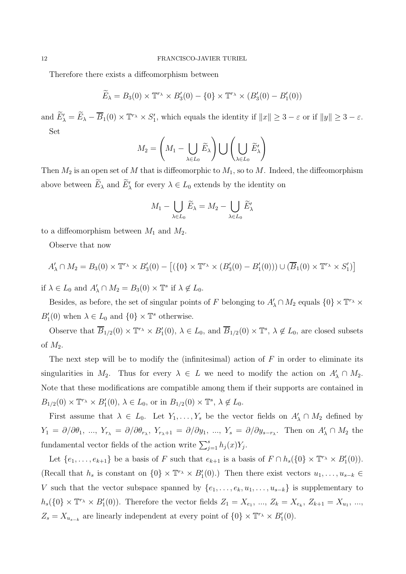Therefore there exists a diffeomorphism between

$$
\widetilde{E}_{\lambda} = B_3(0) \times \mathbb{T}^{r_{\lambda}} \times B'_3(0) - \{0\} \times \mathbb{T}^{r_{\lambda}} \times (B'_3(0) - B'_1(0))
$$

and  $\widetilde{E}'_{\lambda} = \widetilde{E}_{\lambda} - \overline{B}_1(0) \times \mathbb{T}^{r_{\lambda}} \times S'_1$ , which equals the identity if  $||x|| \geq 3 - \varepsilon$  or if  $||y|| \geq 3 - \varepsilon$ . Set

$$
M_2 = \left(M_1 - \bigcup_{\lambda \in L_0} \widetilde{E}_{\lambda}\right) \bigcup \left(\bigcup_{\lambda \in L_0} \widetilde{E}'_{\lambda}\right)
$$

Then  $M_2$  is an open set of M that is diffeomorphic to  $M_1$ , so to M. Indeed, the diffeomorphism above between  $\tilde{E}_{\lambda}$  and  $\tilde{E}'_{\lambda}$  for every  $\lambda \in L_0$  extends by the identity on

$$
M_1 - \bigcup_{\lambda \in L_0} \widetilde{E}_{\lambda} = M_2 - \bigcup_{\lambda \in L_0} \widetilde{E}'_{\lambda}
$$

to a diffeomorphism between  $M_1$  and  $M_2$ .

Observe that now

$$
A'_{\lambda} \cap M_2 = B_3(0) \times \mathbb{T}^{r_{\lambda}} \times B'_3(0) - [(\{0\} \times \mathbb{T}^{r_{\lambda}} \times (B'_3(0) - B'_1(0))) \cup (\overline{B}_1(0) \times \mathbb{T}^{r_{\lambda}} \times S'_1)]
$$

if  $\lambda \in L_0$  and  $A'_\lambda \cap M_2 = B_3(0) \times \mathbb{T}^s$  if  $\lambda \notin L_0$ .

Besides, as before, the set of singular points of F belonging to  $A'_\lambda \cap M_2$  equals  $\{0\} \times \mathbb{T}^{r_\lambda} \times$  $B'_1(0)$  when  $\lambda \in L_0$  and  $\{0\} \times \mathbb{T}^s$  otherwise.

Observe that  $\overline{B}_{1/2}(0) \times \mathbb{T}^{r_{\lambda}} \times B'_{1}(0)$ ,  $\lambda \in L_0$ , and  $\overline{B}_{1/2}(0) \times \mathbb{T}^{s}$ ,  $\lambda \notin L_0$ , are closed subsets of  $M_2$ .

The next step will be to modify the (infinitesimal) action of  $F$  in order to eliminate its singularities in  $M_2$ . Thus for every  $\lambda \in L$  we need to modify the action on  $A'_\lambda \cap M_2$ . Note that these modifications are compatible among them if their supports are contained in  $B_{1/2}(0) \times \mathbb{T}^r \times B'_1(0), \lambda \in L_0$ , or in  $B_{1/2}(0) \times \mathbb{T}^s, \lambda \notin L_0$ .

First assume that  $\lambda \in L_0$ . Let  $Y_1, \ldots, Y_s$  be the vector fields on  $A'_\lambda \cap M_2$  defined by  $Y_1 = \partial/\partial\theta_1, \dots, Y_{r_{\lambda}} = \partial/\partial\theta_{r_{\lambda}}, Y_{r_{\lambda}+1} = \partial/\partial y_1, \dots, Y_s = \partial/\partial y_{s-r_{\lambda}}.$  Then on  $A'_{\lambda} \cap M_2$  the fundamental vector fields of the action write  $\sum_{j=1}^{s} h_j(x) Y_j$ .

Let  $\{e_1, \ldots, e_{k+1}\}\$  be a basis of F such that  $e_{k+1}$  is a basis of  $F \cap h_s(\{0\} \times \mathbb{T}^r \times B'_1(0)).$ (Recall that  $h_s$  is constant on  $\{0\} \times \mathbb{T}^{r_{\lambda}} \times B'_1(0)$ .) Then there exist vectors  $u_1, \ldots, u_{s-k} \in$ V such that the vector subspace spanned by  $\{e_1, \ldots, e_k, u_1, \ldots, u_{s-k}\}\$ is supplementary to  $h_s({0} \times \mathbb{T}^r \times B'_1(0))$ . Therefore the vector fields  $Z_1 = X_{e_1}, ..., Z_k = X_{e_k}, Z_{k+1} = X_{u_1}, ...,$  $Z_s = X_{u_{s-k}}$  are linearly independent at every point of  $\{0\} \times \mathbb{T}^{r_{\lambda}} \times B'_1(0)$ .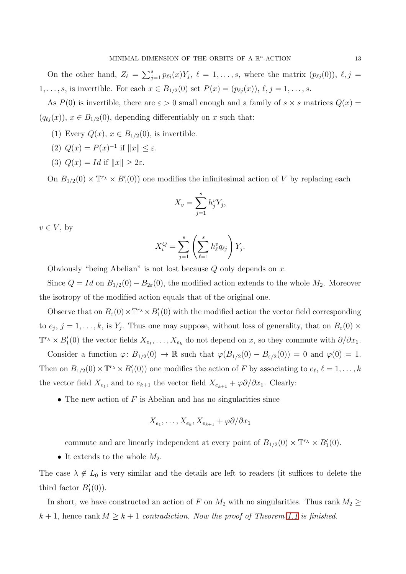On the other hand,  $Z_{\ell} = \sum_{j=1}^{s} p_{\ell j}(x) Y_j$ ,  $\ell = 1, \ldots, s$ , where the matrix  $(p_{\ell j}(0)), \ell, j =$  $1, \ldots, s$ , is invertible. For each  $x \in B_{1/2}(0)$  set  $P(x) = (p_{\ell j}(x)), \ell, j = 1, \ldots, s$ .

As  $P(0)$  is invertible, there are  $\varepsilon > 0$  small enough and a family of  $s \times s$  matrices  $Q(x) =$  $(q_{\ell i}(x))$ ,  $x \in B_{1/2}(0)$ , depending differentiably on x such that:

- (1) Every  $Q(x)$ ,  $x \in B_{1/2}(0)$ , is invertible.
- (2)  $Q(x) = P(x)^{-1}$  if  $||x|| \leq \varepsilon$ .
- (3)  $Q(x) = Id$  if  $||x|| > 2\varepsilon$ .

On  $B_{1/2}(0) \times \mathbb{T}^{r_{\lambda}} \times B'_{1}(0)$  one modifies the infinitesimal action of V by replacing each

$$
X_v = \sum_{j=1}^s h_j^v Y_j,
$$

 $v \in V$ , by

$$
X_v^Q = \sum_{j=1}^s \left( \sum_{\ell=1}^s h_\ell^v q_{\ell j} \right) Y_j.
$$

Obviously "being Abelian" is not lost because  $Q$  only depends on  $x$ .

Since  $Q = Id$  on  $B_{1/2}(0) - B_{2\varepsilon}(0)$ , the modified action extends to the whole  $M_2$ . Moreover the isotropy of the modified action equals that of the original one.

Observe that on  $B_\varepsilon(0) \times \mathbb{T}^r \to B'_1(0)$  with the modified action the vector field corresponding to  $e_j$ ,  $j = 1, \ldots, k$ , is  $Y_j$ . Thus one may suppose, without loss of generality, that on  $B_{\varepsilon}(0) \times$  $\mathbb{T}^r \times B'_1(0)$  the vector fields  $X_{e_1}, \ldots, X_{e_k}$  do not depend on x, so they commute with  $\partial/\partial x_1$ .

Consider a function  $\varphi: B_{1/2}(0) \to \mathbb{R}$  such that  $\varphi(B_{1/2}(0) - B_{\varepsilon/2}(0)) = 0$  and  $\varphi(0) = 1$ . Then on  $B_{1/2}(0) \times \mathbb{T}^r \times B'_1(0)$  one modifies the action of F by associating to  $e_\ell, \ell = 1, \ldots, k$ the vector field  $X_{e_{\ell}}$ , and to  $e_{k+1}$  the vector field  $X_{e_{k+1}} + \varphi \partial/\partial x_1$ . Clearly:

• The new action of  $F$  is Abelian and has no singularities since

$$
X_{e_1},\ldots,X_{e_k},X_{e_{k+1}}+\varphi\partial/\partial x_1
$$

commute and are linearly independent at every point of  $B_{1/2}(0) \times \mathbb{T}^r \times B'_1(0)$ .

• It extends to the whole  $M_2$ .

The case  $\lambda \notin L_0$  is very similar and the details are left to readers (it suffices to delete the third factor  $B'_{1}(0)$ ).

In short, we have constructed an action of F on  $M_2$  with no singularities. Thus rank  $M_2 \geq$  $k + 1$ , hence rank  $M \geq k + 1$  contradiction. Now the proof of Theorem [1.1](#page-1-1) is finished.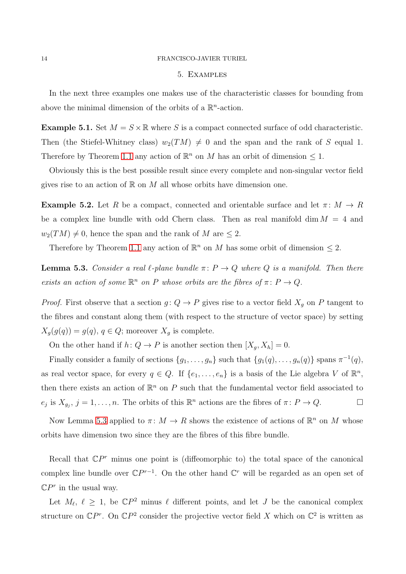#### 14 FRANCISCO-JAVIER TURIEL

### 5. Examples

In the next three examples one makes use of the characteristic classes for bounding from above the minimal dimension of the orbits of a  $\mathbb{R}^n$ -action.

<span id="page-13-1"></span>**Example 5.1.** Set  $M = S \times \mathbb{R}$  where S is a compact connected surface of odd characteristic. Then (the Stiefel-Whitney class)  $w_2(TM) \neq 0$  and the span and the rank of S equal 1. Therefore by Theorem [1.1](#page-1-1) any action of  $\mathbb{R}^n$  on M has an orbit of dimension  $\leq 1$ .

Obviously this is the best possible result since every complete and non-singular vector field gives rise to an action of  $\mathbb R$  on  $M$  all whose orbits have dimension one.

<span id="page-13-2"></span>**Example 5.2.** Let R be a compact, connected and orientable surface and let  $\pi: M \to R$ be a complex line bundle with odd Chern class. Then as real manifold dim  $M = 4$  and  $w_2(TM) \neq 0$ , hence the span and the rank of M are  $\leq 2$ .

Therefore by Theorem [1.1](#page-1-1) any action of  $\mathbb{R}^n$  on M has some orbit of dimension  $\leq 2$ .

<span id="page-13-0"></span>**Lemma 5.3.** Consider a real  $\ell$ -plane bundle  $\pi: P \to Q$  where Q is a manifold. Then there exists an action of some  $\mathbb{R}^n$  on P whose orbits are the fibres of  $\pi \colon P \to Q$ .

*Proof.* First observe that a section  $g: Q \to P$  gives rise to a vector field  $X_g$  on P tangent to the fibres and constant along them (with respect to the structure of vector space) by setting  $X_q(g(q)) = g(q), q \in Q$ ; moreover  $X_q$  is complete.

On the other hand if  $h: Q \to P$  is another section then  $[X_g, X_h] = 0$ .

Finally consider a family of sections  $\{g_1, \ldots, g_n\}$  such that  $\{g_1(q), \ldots, g_n(q)\}\$  spans  $\pi^{-1}(q)$ , as real vector space, for every  $q \in Q$ . If  $\{e_1, \ldots, e_n\}$  is a basis of the Lie algebra V of  $\mathbb{R}^n$ , then there exists an action of  $\mathbb{R}^n$  on P such that the fundamental vector field associated to  $e_j$  is  $X_{g_j}$ ,  $j = 1, ..., n$ . The orbits of this  $\mathbb{R}^n$  actions are the fibres of  $\pi \colon P \to Q$ .

Now Lemma [5.3](#page-13-0) applied to  $\pi: M \to R$  shows the existence of actions of  $\mathbb{R}^n$  on M whose orbits have dimension two since they are the fibres of this fibre bundle.

Recall that  $\mathbb{C}P^r$  minus one point is (diffeomorphic to) the total space of the canonical complex line bundle over  $\mathbb{C}P^{r-1}$ . On the other hand  $\mathbb{C}^r$  will be regarded as an open set of  $\mathbb{C}P^r$  in the usual way.

Let  $M_{\ell}$ ,  $\ell \geq 1$ , be  $\mathbb{C}P^2$  minus  $\ell$  different points, and let J be the canonical complex structure on  $\mathbb{C}P^r$ . On  $\mathbb{C}P^2$  consider the projective vector field X which on  $\mathbb{C}^2$  is written as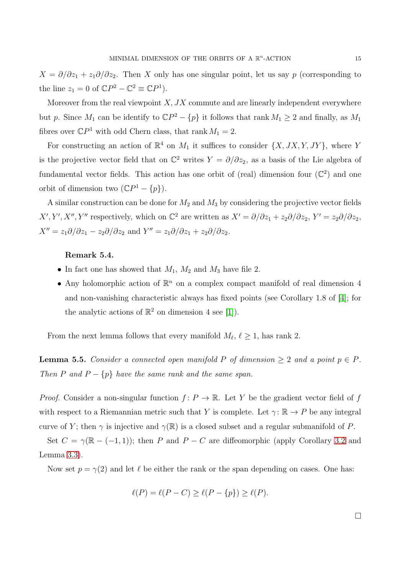$X = \partial/\partial z_1 + z_1 \partial/\partial z_2$ . Then X only has one singular point, let us say p (corresponding to the line  $z_1 = 0$  of  $\mathbb{C}P^2 - \mathbb{C}^2 \equiv \mathbb{C}P^1$ .

Moreover from the real viewpoint  $X, JX$  commute and are linearly independent everywhere but p. Since  $M_1$  can be identify to  $\mathbb{C}P^2 - \{p\}$  it follows that rank  $M_1 \geq 2$  and finally, as  $M_1$ fibres over  $\mathbb{C}P^1$  with odd Chern class, that rank  $M_1 = 2$ .

For constructing an action of  $\mathbb{R}^4$  on  $M_1$  it suffices to consider  $\{X, JX, Y, JY\}$ , where Y is the projective vector field that on  $\mathbb{C}^2$  writes  $Y = \partial/\partial z_2$ , as a basis of the Lie algebra of fundamental vector fields. This action has one orbit of (real) dimension four  $(\mathbb{C}^2)$  and one orbit of dimension two  $(\mathbb{C}P^1 - \{p\})$ .

A similar construction can be done for  $M_2$  and  $M_3$  by considering the projective vector fields  $X', Y', X'', Y''$  respectively, which on  $\mathbb{C}^2$  are written as  $X' = \partial/\partial z_1 + z_2 \partial/\partial z_2$ ,  $Y' = z_2 \partial/\partial z_2$ ,  $X'' = z_1 \partial/\partial z_1 - z_2 \partial/\partial z_2$  and  $Y'' = z_1 \partial/\partial z_1 + z_2 \partial/\partial z_2$ .

### Remark 5.4.

- In fact one has showed that  $M_1$ ,  $M_2$  and  $M_3$  have file 2.
- Any holomorphic action of  $\mathbb{R}^n$  on a complex compact manifold of real dimension 4 and non-vanishing characteristic always has fixed points (see Corollary 1.8 of [\[4\]](#page-17-6); for the analytic actions of  $\mathbb{R}^2$  on dimension 4 see [\[1\]](#page-17-7)).

From the next lemma follows that every manifold  $M_{\ell}$ ,  $\ell \geq 1$ , has rank 2.

<span id="page-14-0"></span>**Lemma 5.5.** Consider a connected open manifold P of dimension  $\geq 2$  and a point  $p \in P$ . Then P and  $P - \{p\}$  have the same rank and the same span.

*Proof.* Consider a non-singular function  $f: P \to \mathbb{R}$ . Let Y be the gradient vector field of f with respect to a Riemannian metric such that Y is complete. Let  $\gamma: \mathbb{R} \to P$  be any integral curve of Y; then  $\gamma$  is injective and  $\gamma(\mathbb{R})$  is a closed subset and a regular submanifold of P.

Set  $C = \gamma(\mathbb{R} - (-1, 1))$ ; then P and  $P - C$  are diffeomorphic (apply Corollary [3.2](#page-3-1) and Lemma [3.3\)](#page-3-0).

Now set  $p = \gamma(2)$  and let  $\ell$  be either the rank or the span depending on cases. One has:

$$
\ell(P) = \ell(P - C) \ge \ell(P - \{p\}) \ge \ell(P).
$$

 $\Box$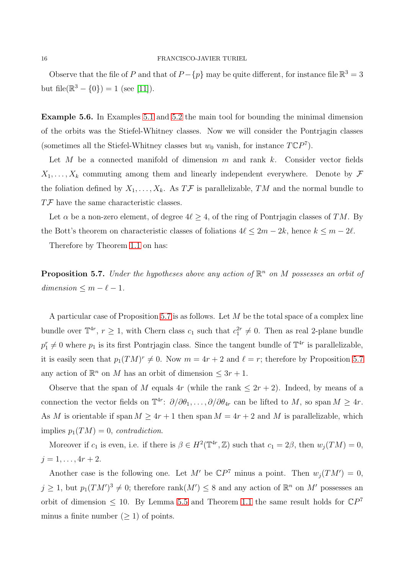Observe that the file of P and that of  $P - \{p\}$  may be quite different, for instance file  $\mathbb{R}^3 = 3$ but file( $\mathbb{R}^3 - \{0\}$ ) = 1 (see [\[11\]](#page-18-1)).

Example 5.6. In Examples [5.1](#page-13-1) and [5.2](#page-13-2) the main tool for bounding the minimal dimension of the orbits was the Stiefel-Whitney classes. Now we will consider the Pontrjagin classes (sometimes all the Stiefel-Whitney classes but  $w_0$  vanish, for instance  $T\mathbb{C}P^7$ ).

Let  $M$  be a connected manifold of dimension  $m$  and rank  $k$ . Consider vector fields  $X_1, \ldots, X_k$  commuting among them and linearly independent everywhere. Denote by  $\mathcal F$ the foliation defined by  $X_1, \ldots, X_k$ . As  $T\mathcal{F}$  is parallelizable, TM and the normal bundle to TF have the same characteristic classes.

Let  $\alpha$  be a non-zero element, of degree  $4\ell \geq 4$ , of the ring of Pontrjagin classes of TM. By the Bott's theorem on characteristic classes of foliations  $4\ell \leq 2m - 2k$ , hence  $k \leq m - 2\ell$ .

Therefore by Theorem [1.1](#page-1-1) on has:

<span id="page-15-0"></span>**Proposition 5.7.** Under the hypotheses above any action of  $\mathbb{R}^n$  on M possesses an orbit of  $dimension \leq m - \ell - 1.$ 

A particular case of Proposition [5.7](#page-15-0) is as follows. Let  $M$  be the total space of a complex line bundle over  $\mathbb{T}^{4r}$ ,  $r \geq 1$ , with Chern class  $c_1$  such that  $c_1^{2r} \neq 0$ . Then as real 2-plane bundle  $p_1^r \neq 0$  where  $p_1$  is its first Pontrjagin class. Since the tangent bundle of  $\mathbb{T}^{4r}$  is parallelizable, it is easily seen that  $p_1(TM)^r \neq 0$ . Now  $m = 4r + 2$  and  $\ell = r$ ; therefore by Proposition [5.7](#page-15-0) any action of  $\mathbb{R}^n$  on M has an orbit of dimension  $\leq 3r + 1$ .

Observe that the span of M equals 4r (while the rank  $\leq 2r+2$ ). Indeed, by means of a connection the vector fields on  $\mathbb{T}^{4r}$ :  $\partial/\partial\theta_1,\ldots,\partial/\partial\theta_{4r}$  can be lifted to M, so span  $M \geq 4r$ . As M is orientable if span  $M \geq 4r + 1$  then span  $M = 4r + 2$  and M is parallelizable, which implies  $p_1(TM) = 0$ , contradiction.

Moreover if  $c_1$  is even, i.e. if there is  $\beta \in H^2(\mathbb{T}^{4r}, \mathbb{Z})$  such that  $c_1 = 2\beta$ , then  $w_j(TM) = 0$ ,  $j = 1, \ldots, 4r + 2.$ 

Another case is the following one. Let M' be  $\mathbb{C}P^7$  minus a point. Then  $w_j(TM')=0$ ,  $j \geq 1$ , but  $p_1(TM')^3 \neq 0$ ; therefore rank $(M') \leq 8$  and any action of  $\mathbb{R}^n$  on M' possesses an orbit of dimension  $\leq 10$ . By Lemma [5.5](#page-14-0) and Theorem [1.1](#page-1-1) the same result holds for  $\mathbb{C}P^7$ minus a finite number  $(≥ 1)$  of points.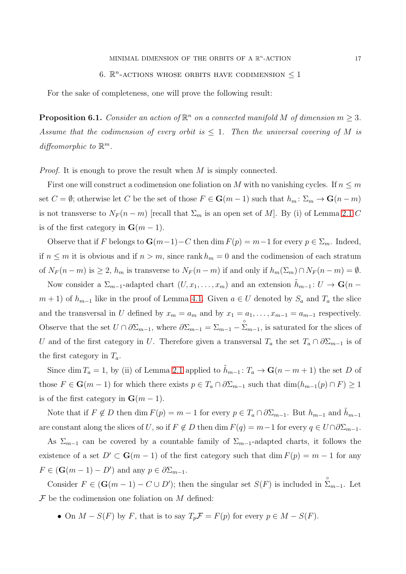For the sake of completeness, one will prove the following result:

**Proposition 6.1.** Consider an action of  $\mathbb{R}^n$  on a connected manifold M of dimension  $m \geq 3$ . Assume that the codimension of every orbit is  $\leq 1$ . Then the universal covering of M is diffeomorphic to  $\mathbb{R}^m$ .

*Proof.* It is enough to prove the result when  $M$  is simply connected.

First one will construct a codimension one foliation on M with no vanishing cycles. If  $n \leq m$ set  $C = \emptyset$ ; otherwise let C be the set of those  $F \in \mathbf{G}(m-1)$  such that  $h_m: \Sigma_m \to \mathbf{G}(n-m)$ is not transverse to  $N_F(n-m)$  [recall that  $\Sigma_m$  is an open set of M]. By (i) of Lemma [2.1](#page-1-2) C is of the first category in  $\mathbf{G}(m-1)$ .

Observe that if F belongs to  $\mathbf{G}(m-1)-C$  then dim  $F(p) = m-1$  for every  $p \in \Sigma_m$ . Indeed, if  $n \leq m$  it is obvious and if  $n > m$ , since rank  $h_m = 0$  and the codimension of each stratum of  $N_F(n-m)$  is  $\geq 2$ ,  $h_m$  is transverse to  $N_F(n-m)$  if and only if  $h_m(\Sigma_m) \cap N_F(n-m) = \emptyset$ .

Now consider a  $\Sigma_{m-1}$ -adapted chart  $(U, x_1, \ldots, x_m)$  and an extension  $\tilde{h}_{m-1} : U \to \mathbf{G}(n-1)$  $m + 1$ ) of  $h_{m-1}$  like in the proof of Lemma [4.1.](#page-5-0) Given  $a \in U$  denoted by  $S_a$  and  $T_a$  the slice and the transversal in U defined by  $x_m = a_m$  and by  $x_1 = a_1, \ldots, x_{m-1} = a_{m-1}$  respectively. Observe that the set  $U \cap \partial \Sigma_{m-1}$ , where  $\partial \Sigma_{m-1} = \Sigma_{m-1} - \Sigma_{m-1}$ , is saturated for the slices of U and of the first category in U. Therefore given a transversal  $T_a$  the set  $T_a \cap \partial \Sigma_{m-1}$  is of the first category in  $T_a$ .

Since dim  $T_a = 1$ , by (ii) of Lemma [2.1](#page-1-2) applied to  $\tilde{h}_{m-1} : T_a \to \mathbf{G}(n-m+1)$  the set D of those  $F \in \mathbf{G}(m-1)$  for which there exists  $p \in T_a \cap \partial \Sigma_{m-1}$  such that  $\dim(h_{m-1}(p) \cap F) \geq 1$ is of the first category in  $\mathbf{G}(m-1)$ .

Note that if  $F \notin D$  then dim  $F(p) = m - 1$  for every  $p \in T_a \cap \partial \Sigma_{m-1}$ . But  $h_{m-1}$  and  $\tilde{h}_{m-1}$ are constant along the slices of U, so if  $F \notin D$  then dim  $F(q) = m-1$  for every  $q \in U \cap \partial \Sigma_{m-1}$ .

As  $\Sigma_{m-1}$  can be covered by a countable family of  $\Sigma_{m-1}$ -adapted charts, it follows the existence of a set  $D' \subset \mathbf{G}(m-1)$  of the first category such that  $\dim F(p) = m-1$  for any  $F \in (\mathbf{G}(m-1)-D')$  and any  $p \in \partial \Sigma_{m-1}$ .

Consider  $F \in (\mathbf{G}(m-1) - C \cup D')$ ; then the singular set  $S(F)$  is included in  $\sum_{m=1}^{8}$ . Let  $\mathcal F$  be the codimension one foliation on M defined:

• On  $M - S(F)$  by F, that is to say  $T_p \mathcal{F} = F(p)$  for every  $p \in M - S(F)$ .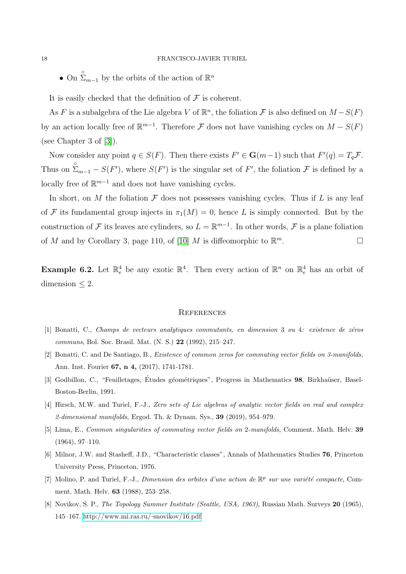• On  $\sum_{m=1}^{\infty}$  by the orbits of the action of  $\mathbb{R}^n$ 

It is easily checked that the definition of  $\mathcal F$  is coherent.

As F is a subalgebra of the Lie algebra V of  $\mathbb{R}^n$ , the foliation F is also defined on  $M-S(F)$ by an action locally free of  $\mathbb{R}^{m-1}$ . Therefore F does not have vanishing cycles on  $M-S(F)$ (see Chapter 3 of [\[3\]](#page-17-5)).

Now consider any point  $q \in S(F)$ . Then there exists  $F' \in \mathbf{G}(m-1)$  such that  $F'(q) = T_q \mathcal{F}$ . Thus on  $\sum_{m=1}^{\infty}$  –  $S(F')$ , where  $S(F')$  is the singular set of F', the foliation F is defined by a locally free of  $\mathbb{R}^{m-1}$  and does not have vanishing cycles.

In short, on M the foliation  $\mathcal F$  does not possesses vanishing cycles. Thus if L is any leaf of F its fundamental group injects in  $\pi_1(M) = 0$ , hence L is simply connected. But by the construction of F its leaves are cylinders, so  $L = \mathbb{R}^{m-1}$ . In other words, F is a plane foliation of M and by Corollary 3, page 110, of [\[10\]](#page-18-4) M is diffeomorphic to  $\mathbb{R}^m$ .  $\Box$ 

**Example 6.2.** Let  $\mathbb{R}^4$  be any exotic  $\mathbb{R}^4$ . Then every action of  $\mathbb{R}^n$  on  $\mathbb{R}^4$  has an orbit of dimension  $\leq 2$ .

#### **REFERENCES**

- <span id="page-17-7"></span><span id="page-17-2"></span>[1] Bonatti, C., Champs de vecteurs analytiques commutants, en dimension 3 ou 4: existence de zéros communs, Bol. Soc. Brasil. Mat. (N. S.) 22 (1992), 215–247.
- <span id="page-17-5"></span>[2] Bonatti, C. and De Santiago, B., Existence of common zeros for commuting vector fields on 3-manifolds, Ann. Inst. Fourier 67, n 4, (2017), 1741-1781.
- <span id="page-17-6"></span>[3] Godbillon, C., "Feuilletages, Études géométriques", Progress in Mathematics 98, Birkhaüser, Basel-Boston-Berlin, 1991.
- <span id="page-17-0"></span>[4] Hirsch, M.W. and Turiel, F.-J., Zero sets of Lie algebras of analytic vector fields on real and complex 2-dimensional manifolds, Ergod. Th.  $\&$  Dynam. Sys., **39** (2019), 954–979.
- <span id="page-17-4"></span>[5] Lima, E., Common singularities of commuting vector fields on 2-manifolds, Comment. Math. Helv. 39 (1964), 97–110.
- <span id="page-17-1"></span>[6] Milnor, J.W. and Stasheff, J.D., "Characteristic classes", Annals of Mathematics Studies 76, Princeton University Press, Princeton, 1976.
- <span id="page-17-3"></span>[7] Molino, P. and Turiel, F.-J., Dimension des orbites d'une action de  $\mathbb{R}^p$  sur une variété compacte, Comment. Math. Helv. 63 (1988), 253–258.
- [8] Novikov, S. P., The Topology Summer Institute (Seattle, USA, 1963), Russian Math. Surveys 20 (1965), 145–167. [http://www.mi.ras.ru/](http://www.mi.ras.ru/$_\setbox \z@ \hbox {\mathsurround \z@ $\textstyle ~$}\mathaccent "0365{~}$snovikov/16.pdf)~snovikov/16.pdf.